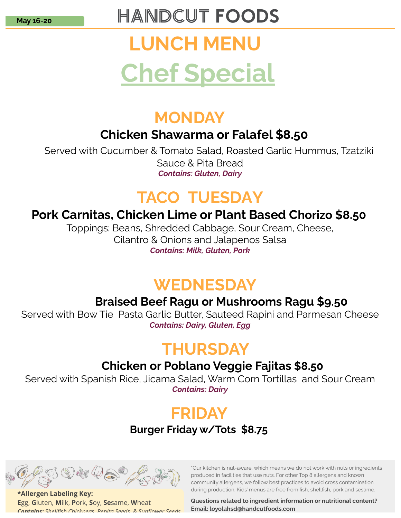# **HANDCUT FOODS**

# LUNCH MENU Chef Special

# MONDAY

#### Chicken Shawarma or Falafel \$8.50

 Served with Cucumber & Tomato Salad, Roasted Garlic Hummus, Tzatziki Sauce & Pita Bread Contains: Gluten, Dairy

# TACO TUESDAY

#### Pork Carnitas, Chicken Lime or Plant Based Chorizo \$8.50

Toppings: Beans, Shredded Cabbage, Sour Cream, Cheese, Cilantro & Onions and Jalapenos Salsa Contains: Milk, Gluten, Pork

# **WEDNESDAY**

#### Braised Beef Ragu or Mushrooms Ragu \$9.50

Served with Bow Tie Pasta Garlic Butter, Sauteed Rapini and Parmesan Cheese Contains: Dairy, Gluten, Egg

# **THURSDAY**

#### Chicken or Poblano Veggie Fajitas \$8.50

Served with Spanish Rice, Jicama Salad, Warm Corn Tortillas and Sour Cream Contains: Dairy

# FRIDAY

#### Burger Friday w/Tots \$8.75



\*Allergen Labeling Key: Egg, Gluten, Milk, Pork, Soy, Sesame, Wheat Contains: Shellfish Chickneas, Penita Seeds, & Sunflower Seeds. \*Our kitchen is nut-aware, which means we do not work with nuts or ingredients produced in facilities that use nuts. For other Top 8 allergens and known community allergens, we follow best practices to avoid cross contamination during production. Kids' menus are free from fish, shellfish, pork and sesame.

Questions related to ingredient information or nutritional content? Email: loyolahsd@handcutfoods.com